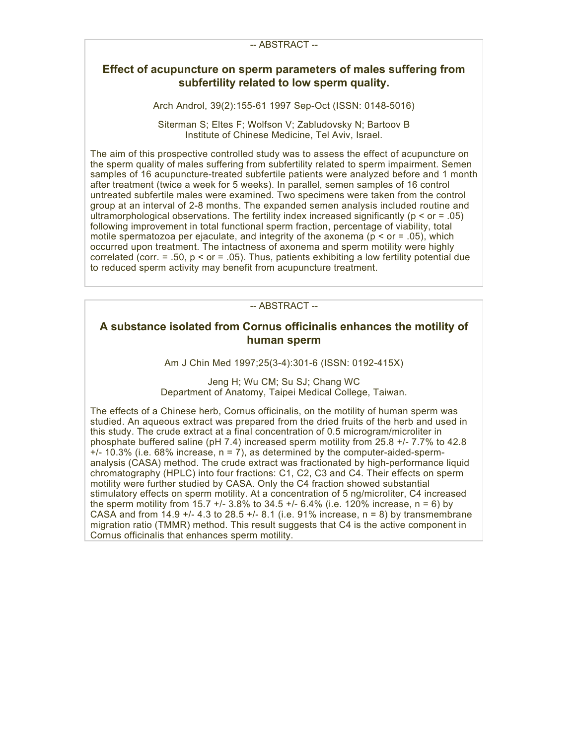# **Effect of acupuncture on sperm parameters of males suffering from subfertility related to low sperm quality.**

Arch Androl, 39(2):155-61 1997 Sep-Oct (ISSN: 0148-5016)

Siterman S; Eltes F; Wolfson V; Zabludovsky N; Bartoov B Institute of Chinese Medicine, Tel Aviv, Israel.

The aim of this prospective controlled study was to assess the effect of acupuncture on the sperm quality of males suffering from subfertility related to sperm impairment. Semen samples of 16 acupuncture-treated subfertile patients were analyzed before and 1 month after treatment (twice a week for 5 weeks). In parallel, semen samples of 16 control untreated subfertile males were examined. Two specimens were taken from the control group at an interval of 2-8 months. The expanded semen analysis included routine and ultramorphological observations. The fertility index increased significantly ( $p \leq$  or = .05) following improvement in total functional sperm fraction, percentage of viability, total motile spermatozoa per ejaculate, and integrity of the axonema ( $p < or = .05$ ), which occurred upon treatment. The intactness of axonema and sperm motility were highly correlated (corr.  $= .50$ ,  $p < or = .05$ ). Thus, patients exhibiting a low fertility potential due to reduced sperm activity may benefit from acupuncture treatment.

### -- ABSTRACT --

## **A substance isolated from Cornus officinalis enhances the motility of human sperm**

Am J Chin Med 1997;25(3-4):301-6 (ISSN: 0192-415X)

Jeng H; Wu CM; Su SJ; Chang WC Department of Anatomy, Taipei Medical College, Taiwan.

The effects of a Chinese herb, Cornus officinalis, on the motility of human sperm was studied. An aqueous extract was prepared from the dried fruits of the herb and used in this study. The crude extract at a final concentration of 0.5 microgram/microliter in phosphate buffered saline (pH 7.4) increased sperm motility from 25.8 +/- 7.7% to 42.8  $+/-$  10.3% (i.e. 68% increase,  $n = 7$ ), as determined by the computer-aided-spermanalysis (CASA) method. The crude extract was fractionated by high-performance liquid chromatography (HPLC) into four fractions: C1, C2, C3 and C4. Their effects on sperm motility were further studied by CASA. Only the C4 fraction showed substantial stimulatory effects on sperm motility. At a concentration of 5 ng/microliter, C4 increased the sperm motility from 15.7  $+/-$  3.8% to 34.5  $+/-$  6.4% (i.e. 120% increase, n = 6) by CASA and from  $14.9 + 4.3$  to  $28.5 + 8.1$  (i.e. 91% increase, n = 8) by transmembrane migration ratio (TMMR) method. This result suggests that C4 is the active component in Cornus officinalis that enhances sperm motility.

#### -- ABSTRACT --